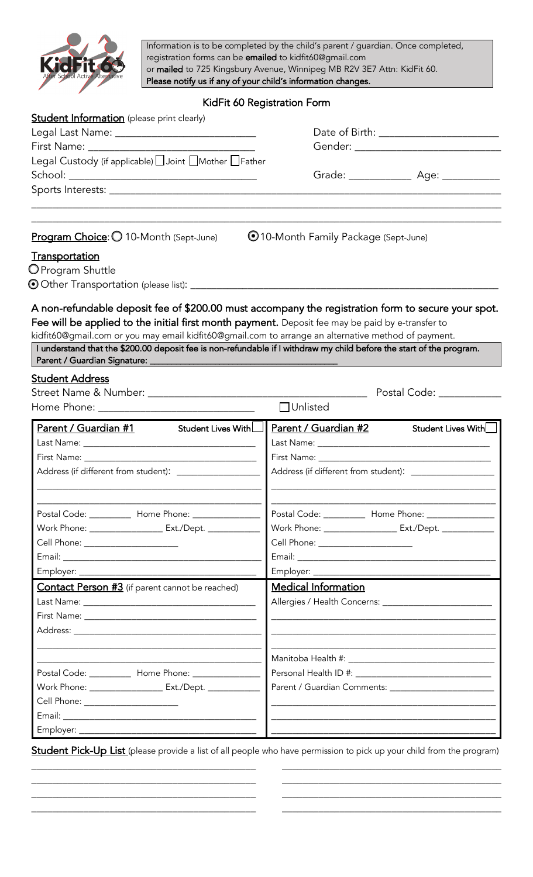

Information is to be completed by the child's parent / guardian. Once completed, registration forms can be emailed to kidfit60@gmail.com or mailed to 725 Kingsbury Avenue, Winnipeg MB R2V 3E7 Attn: KidFit 60. Please notify us if any of your child's information changes.

# KidFit 60 Registration Form

| <b>Student Information</b> (please print clearly)                                                                                                                                                                                                                                                                                                         |                                                                 |
|-----------------------------------------------------------------------------------------------------------------------------------------------------------------------------------------------------------------------------------------------------------------------------------------------------------------------------------------------------------|-----------------------------------------------------------------|
| Legal Last Name: _____________________________                                                                                                                                                                                                                                                                                                            | Date of Birth: _________________________                        |
|                                                                                                                                                                                                                                                                                                                                                           | Gender: _____________________________                           |
| Legal Custody (if applicable) Joint IMother IFather                                                                                                                                                                                                                                                                                                       |                                                                 |
|                                                                                                                                                                                                                                                                                                                                                           | Grade: _________________ Age: ____________                      |
|                                                                                                                                                                                                                                                                                                                                                           |                                                                 |
|                                                                                                                                                                                                                                                                                                                                                           |                                                                 |
| Program Choice: O 10-Month (Sept-June)                                                                                                                                                                                                                                                                                                                    | ©10-Month Family Package (Sept-June)                            |
| <b>Transportation</b>                                                                                                                                                                                                                                                                                                                                     |                                                                 |
| O Program Shuttle                                                                                                                                                                                                                                                                                                                                         |                                                                 |
|                                                                                                                                                                                                                                                                                                                                                           |                                                                 |
| Fee will be applied to the initial first month payment. Deposit fee may be paid by e-transfer to<br>kidfit60@gmail.com or you may email kidfit60@gmail.com to arrange an alternative method of payment.<br>I understand that the \$200.00 deposit fee is non-refundable if I withdraw my child before the start of the program.<br><b>Student Address</b> |                                                                 |
|                                                                                                                                                                                                                                                                                                                                                           | Postal Code: National According Postal Code:                    |
|                                                                                                                                                                                                                                                                                                                                                           | $\Box$ Unlisted                                                 |
| Parent / Guardian #1<br>Student Lives With∟l                                                                                                                                                                                                                                                                                                              | Parent / Guardian #2<br>Student Lives With                      |
|                                                                                                                                                                                                                                                                                                                                                           |                                                                 |
|                                                                                                                                                                                                                                                                                                                                                           |                                                                 |
| Address (if different from student): __________________                                                                                                                                                                                                                                                                                                   | Address (if different from student): _________________          |
|                                                                                                                                                                                                                                                                                                                                                           |                                                                 |
| Postal Code: ____________ Home Phone: ________________                                                                                                                                                                                                                                                                                                    | Postal Code: __________ Home Phone: _____________               |
| Work Phone: ___________________ Ext./Dept. ___________                                                                                                                                                                                                                                                                                                    | Work Phone: _________________________ Ext./Dept. ______________ |
| Cell Phone: _____________________                                                                                                                                                                                                                                                                                                                         | Cell Phone: _____________________                               |
|                                                                                                                                                                                                                                                                                                                                                           |                                                                 |
|                                                                                                                                                                                                                                                                                                                                                           |                                                                 |
| <b>Contact Person #3</b> (if parent cannot be reached)                                                                                                                                                                                                                                                                                                    | Medical Information                                             |
|                                                                                                                                                                                                                                                                                                                                                           |                                                                 |
|                                                                                                                                                                                                                                                                                                                                                           |                                                                 |
|                                                                                                                                                                                                                                                                                                                                                           |                                                                 |
|                                                                                                                                                                                                                                                                                                                                                           |                                                                 |
| Postal Code: ___________ Home Phone: ________________                                                                                                                                                                                                                                                                                                     |                                                                 |
| Work Phone: ________________________ Ext./Dept. ______________                                                                                                                                                                                                                                                                                            |                                                                 |
| Cell Phone: _____________________                                                                                                                                                                                                                                                                                                                         |                                                                 |
|                                                                                                                                                                                                                                                                                                                                                           |                                                                 |
|                                                                                                                                                                                                                                                                                                                                                           |                                                                 |

Student Pick-Up List (please provide a list of all people who have permission to pick up your child from the program) \_\_\_\_\_\_\_\_\_\_\_\_\_\_\_\_\_\_\_\_\_\_\_\_\_\_\_\_\_\_\_\_\_\_\_\_\_\_\_\_\_\_\_ \_\_\_\_\_\_\_\_\_\_\_\_\_\_\_\_\_\_\_\_\_\_\_\_\_\_\_\_\_\_\_\_\_\_\_\_\_\_\_\_\_\_

\_\_\_\_\_\_\_\_\_\_\_\_\_\_\_\_\_\_\_\_\_\_\_\_\_\_\_\_\_\_\_\_\_\_\_\_\_\_\_\_\_\_\_ \_\_\_\_\_\_\_\_\_\_\_\_\_\_\_\_\_\_\_\_\_\_\_\_\_\_\_\_\_\_\_\_\_\_\_\_\_\_\_\_\_\_ \_\_\_\_\_\_\_\_\_\_\_\_\_\_\_\_\_\_\_\_\_\_\_\_\_\_\_\_\_\_\_\_\_\_\_\_\_\_\_\_\_\_\_ \_\_\_\_\_\_\_\_\_\_\_\_\_\_\_\_\_\_\_\_\_\_\_\_\_\_\_\_\_\_\_\_\_\_\_\_\_\_\_\_\_\_ \_\_\_\_\_\_\_\_\_\_\_\_\_\_\_\_\_\_\_\_\_\_\_\_\_\_\_\_\_\_\_\_\_\_\_\_\_\_\_\_\_\_\_ \_\_\_\_\_\_\_\_\_\_\_\_\_\_\_\_\_\_\_\_\_\_\_\_\_\_\_\_\_\_\_\_\_\_\_\_\_\_\_\_\_\_